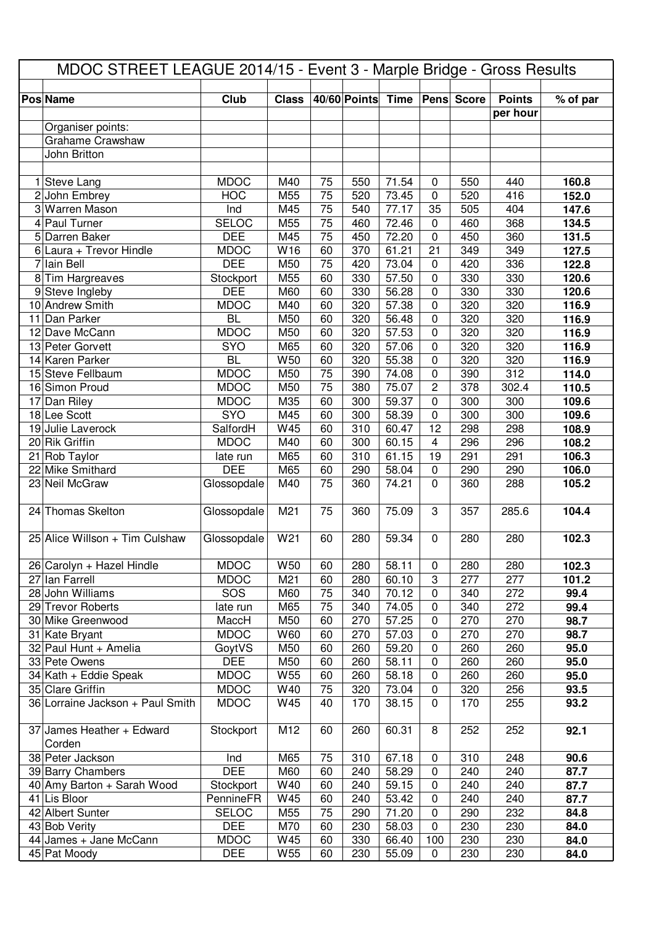| 40/60 Points<br>Club<br>Time<br>Pens Score<br><b>Points</b><br><b>Class</b><br>$\sqrt{9}$ of par<br><b>Pos Name</b><br>per hour<br>Organiser points:<br>Grahame Crawshaw<br>John Britton<br><b>MDOC</b><br>75<br>71.54<br>550<br>160.8<br>1 Steve Lang<br>M40<br>550<br>$\mathbf 0$<br>440<br>75<br>152.0<br>2 John Embrey<br><b>HOC</b><br>M55<br>520<br>73.45<br>0<br>520<br>416<br>M45<br>75<br>77.17<br>35<br>505<br>3 Warren Mason<br>Ind<br>540<br>404<br>147.6<br>$\overline{75}$<br><b>SELOC</b><br>M55<br>72.46<br>368<br>4 Paul Turner<br>460<br>0<br>460<br>134.5<br><b>DEE</b><br>$\overline{75}$<br>72.20<br>$\mathbf 0$<br>5 Darren Baker<br>M45<br>450<br>450<br>360<br>131.5<br>61.21<br>21<br><b>MDOC</b><br>W16<br>60<br>370<br>127.5<br>$6$ Laura + Trevor Hindle<br>349<br>349<br><b>DEE</b><br>lain Bell<br>75<br>420<br>336<br>7<br>M50<br>420<br>73.04<br>0<br>122.8<br>M55<br>57.50<br>330<br>Tim Hargreaves<br>Stockport<br>60<br>330<br>0<br>330<br>120.6<br>8<br><b>DEE</b><br>120.6<br>9 Steve Ingleby<br>M60<br>60<br>330<br>56.28<br>0<br>330<br>330<br>10 Andrew Smith<br><b>MDOC</b><br>57.38<br>M40<br>60<br>320<br>0<br>320<br>320<br>116.9<br><b>BL</b><br>56.48<br>116.9<br>Dan Parker<br>M50<br>60<br>320<br>0<br>320<br>320<br>11<br><b>MDOC</b><br>320<br>320<br>116.9<br>12 Dave McCann<br>M50<br>60<br>320<br>57.53<br>0<br>116.9<br>SYO<br>57.06<br>$\mathbf 0$<br>320<br>320<br>13 Peter Gorvett<br>M65<br>60<br>320<br>14 Karen Parker<br><b>BL</b><br>55.38<br>W50<br>60<br>320<br>$\mathbf 0$<br>320<br>320<br>116.9<br><b>MDOC</b><br>75<br>$\pmb{0}$<br>312<br>15 Steve Fellbaum<br>M50<br>390<br>74.08<br>390<br>114.0<br>16 Simon Proud<br><b>MDOC</b><br>75<br>75.07<br>$\overline{c}$<br>302.4<br>110.5<br>M50<br>378<br>380<br><b>MDOC</b><br>59.37<br>$\mathbf 0$<br>17 Dan Riley<br>M35<br>60<br>300<br>300<br>300<br>109.6<br>SYO<br>$\pmb{0}$<br>18 Lee Scott<br>M45<br>60<br>300<br>58.39<br>300<br>300<br>109.6<br>W45<br>12<br>108.9<br>19 Julie Laverock<br>SalfordH<br>60<br>310<br>60.47<br>298<br>298<br>$\overline{4}$<br><b>MDOC</b><br>M40<br>60<br>60.15<br>108.2<br>20 Rik Griffin<br>300<br>296<br>296<br>61.15<br>21 Rob Taylor<br>M65<br>60<br>310<br>19<br>291<br>291<br>106.3<br>late run<br><b>DEE</b><br>22 Mike Smithard<br>M65<br>60<br>290<br>58.04<br>$\pmb{0}$<br>290<br>290<br>106.0<br>75<br>105.2<br>23 Neil McGraw<br>M40<br>360<br>74.21<br>0<br>360<br>288<br>Glossopdale<br>24 Thomas Skelton<br>Glossopdale<br>M <sub>21</sub><br>75<br>360<br>75.09<br>3<br>357<br>285.6<br>104.4<br>25 Alice Willson + Tim Culshaw<br>Glossopdale<br>W21<br>60<br>280<br>59.34<br>0<br>280<br>280<br>102.3<br>26 Carolyn + Hazel Hindle<br><b>MDOC</b><br>W50<br>58.11<br>280<br>280<br>102.3<br>60<br>280<br>0<br>3<br><b>MDOC</b><br>60.10<br>101.2<br>27 Ian Farrell<br>M21<br>60<br>280<br>277<br>277<br>75<br>28 John Williams<br>SOS<br>70.12<br>0<br>340<br>272<br>M60<br>340<br>99.4<br>75<br>340<br>29 Trevor Roberts<br>M65<br>340<br>74.05<br>0<br>272<br>99.4<br>late run<br>57.25<br>98.7<br>30 Mike Greenwood<br>MaccH<br>M50<br>60<br>270<br>0<br>270<br>270<br><b>MDOC</b><br>W60<br>57.03<br>0<br>31 Kate Bryant<br>60<br>270<br>270<br>270<br>98.7<br>32 Paul Hunt + Amelia<br>GoytVS<br>60<br>260<br>$\pmb{0}$<br>M50<br>59.20<br>260<br>260<br>95.0<br><b>DEE</b><br>58.11<br>33 Pete Owens<br>M50<br>60<br>260<br>$\pmb{0}$<br>260<br>260<br>95.0<br><b>MDOC</b><br>W55<br>260<br>58.18<br>95.0<br>34 Kath + Eddie Speak<br>60<br>$\pmb{0}$<br>260<br>260<br><b>MDOC</b><br>W40<br>75<br>320<br>73.04<br>$\pmb{0}$<br>320<br>35 Clare Griffin<br>256<br>93.5<br>36 Lorraine Jackson + Paul Smith<br><b>MDOC</b><br>W45<br>40<br>170<br>38.15<br>$\pmb{0}$<br>170<br>255<br>93.2<br>8<br>37 James Heather + Edward<br>Stockport<br>M12<br>60<br>260<br>60.31<br>252<br>252<br>92.1<br>Corden<br>38 Peter Jackson<br>Ind<br>M65<br>310<br>75<br>310<br>67.18<br>$\pmb{0}$<br>248<br>90.6<br><b>DEE</b><br>M60<br>60<br>58.29<br>240<br>240<br>87.7<br>39 Barry Chambers<br>240<br>$\pmb{0}$<br>W40<br>40 Amy Barton + Sarah Wood<br>Stockport<br>60<br>240<br>59.15<br>$\pmb{0}$<br>240<br>240<br>87.7<br>53.42<br>41 Lis Bloor<br>PennineFR<br>W45<br>60<br>240<br>$\pmb{0}$<br>240<br>240<br>87.7<br>42 Albert Sunter<br>M55<br>71.20<br><b>SELOC</b><br>75<br>290<br>232<br>84.8<br>290<br>0<br><b>DEE</b><br>M70<br>$\pmb{0}$<br>43 Bob Verity<br>60<br>230<br>58.03<br>230<br>230<br>84.0<br><b>MDOC</b><br>44 James + Jane McCann<br>W45<br>60<br>330<br>66.40<br>100<br>230<br>230<br>84.0<br><b>DEE</b><br>45 Pat Moody<br>W55<br>55.09<br>60<br>230<br>$\pmb{0}$<br>230<br>230<br>84.0 | MDOC STREET LEAGUE 2014/15 - Event 3 - Marple Bridge - Gross Results |  |  |  |  |  |  |  |  |  |  |
|-----------------------------------------------------------------------------------------------------------------------------------------------------------------------------------------------------------------------------------------------------------------------------------------------------------------------------------------------------------------------------------------------------------------------------------------------------------------------------------------------------------------------------------------------------------------------------------------------------------------------------------------------------------------------------------------------------------------------------------------------------------------------------------------------------------------------------------------------------------------------------------------------------------------------------------------------------------------------------------------------------------------------------------------------------------------------------------------------------------------------------------------------------------------------------------------------------------------------------------------------------------------------------------------------------------------------------------------------------------------------------------------------------------------------------------------------------------------------------------------------------------------------------------------------------------------------------------------------------------------------------------------------------------------------------------------------------------------------------------------------------------------------------------------------------------------------------------------------------------------------------------------------------------------------------------------------------------------------------------------------------------------------------------------------------------------------------------------------------------------------------------------------------------------------------------------------------------------------------------------------------------------------------------------------------------------------------------------------------------------------------------------------------------------------------------------------------------------------------------------------------------------------------------------------------------------------------------------------------------------------------------------------------------------------------------------------------------------------------------------------------------------------------------------------------------------------------------------------------------------------------------------------------------------------------------------------------------------------------------------------------------------------------------------------------------------------------------------------------------------------------------------------------------------------------------------------------------------------------------------------------------------------------------------------------------------------------------------------------------------------------------------------------------------------------------------------------------------------------------------------------------------------------------------------------------------------------------------------------------------------------------------------------------------------------------------------------------------------------------------------------------------------------------------------------------------------------------------------------------------------------------------------------------------------------------------------------------------------------------------------------------------------------------------------------------------------------------------------------------------------------------------------------------------------------------------------------------------------------------------------------------------------------------------------------------------------------------------------------------------------------------------------------------------------------------------------------------------------------------------------------------------------------------------------------------------------------------------------------------------------------------------------------------------------------------------------|----------------------------------------------------------------------|--|--|--|--|--|--|--|--|--|--|
|                                                                                                                                                                                                                                                                                                                                                                                                                                                                                                                                                                                                                                                                                                                                                                                                                                                                                                                                                                                                                                                                                                                                                                                                                                                                                                                                                                                                                                                                                                                                                                                                                                                                                                                                                                                                                                                                                                                                                                                                                                                                                                                                                                                                                                                                                                                                                                                                                                                                                                                                                                                                                                                                                                                                                                                                                                                                                                                                                                                                                                                                                                                                                                                                                                                                                                                                                                                                                                                                                                                                                                                                                                                                                                                                                                                                                                                                                                                                                                                                                                                                                                                                                                                                                                                                                                                                                                                                                                                                                                                                                                                                                                                                                               |                                                                      |  |  |  |  |  |  |  |  |  |  |
|                                                                                                                                                                                                                                                                                                                                                                                                                                                                                                                                                                                                                                                                                                                                                                                                                                                                                                                                                                                                                                                                                                                                                                                                                                                                                                                                                                                                                                                                                                                                                                                                                                                                                                                                                                                                                                                                                                                                                                                                                                                                                                                                                                                                                                                                                                                                                                                                                                                                                                                                                                                                                                                                                                                                                                                                                                                                                                                                                                                                                                                                                                                                                                                                                                                                                                                                                                                                                                                                                                                                                                                                                                                                                                                                                                                                                                                                                                                                                                                                                                                                                                                                                                                                                                                                                                                                                                                                                                                                                                                                                                                                                                                                                               |                                                                      |  |  |  |  |  |  |  |  |  |  |
|                                                                                                                                                                                                                                                                                                                                                                                                                                                                                                                                                                                                                                                                                                                                                                                                                                                                                                                                                                                                                                                                                                                                                                                                                                                                                                                                                                                                                                                                                                                                                                                                                                                                                                                                                                                                                                                                                                                                                                                                                                                                                                                                                                                                                                                                                                                                                                                                                                                                                                                                                                                                                                                                                                                                                                                                                                                                                                                                                                                                                                                                                                                                                                                                                                                                                                                                                                                                                                                                                                                                                                                                                                                                                                                                                                                                                                                                                                                                                                                                                                                                                                                                                                                                                                                                                                                                                                                                                                                                                                                                                                                                                                                                                               |                                                                      |  |  |  |  |  |  |  |  |  |  |
|                                                                                                                                                                                                                                                                                                                                                                                                                                                                                                                                                                                                                                                                                                                                                                                                                                                                                                                                                                                                                                                                                                                                                                                                                                                                                                                                                                                                                                                                                                                                                                                                                                                                                                                                                                                                                                                                                                                                                                                                                                                                                                                                                                                                                                                                                                                                                                                                                                                                                                                                                                                                                                                                                                                                                                                                                                                                                                                                                                                                                                                                                                                                                                                                                                                                                                                                                                                                                                                                                                                                                                                                                                                                                                                                                                                                                                                                                                                                                                                                                                                                                                                                                                                                                                                                                                                                                                                                                                                                                                                                                                                                                                                                                               |                                                                      |  |  |  |  |  |  |  |  |  |  |
|                                                                                                                                                                                                                                                                                                                                                                                                                                                                                                                                                                                                                                                                                                                                                                                                                                                                                                                                                                                                                                                                                                                                                                                                                                                                                                                                                                                                                                                                                                                                                                                                                                                                                                                                                                                                                                                                                                                                                                                                                                                                                                                                                                                                                                                                                                                                                                                                                                                                                                                                                                                                                                                                                                                                                                                                                                                                                                                                                                                                                                                                                                                                                                                                                                                                                                                                                                                                                                                                                                                                                                                                                                                                                                                                                                                                                                                                                                                                                                                                                                                                                                                                                                                                                                                                                                                                                                                                                                                                                                                                                                                                                                                                                               |                                                                      |  |  |  |  |  |  |  |  |  |  |
|                                                                                                                                                                                                                                                                                                                                                                                                                                                                                                                                                                                                                                                                                                                                                                                                                                                                                                                                                                                                                                                                                                                                                                                                                                                                                                                                                                                                                                                                                                                                                                                                                                                                                                                                                                                                                                                                                                                                                                                                                                                                                                                                                                                                                                                                                                                                                                                                                                                                                                                                                                                                                                                                                                                                                                                                                                                                                                                                                                                                                                                                                                                                                                                                                                                                                                                                                                                                                                                                                                                                                                                                                                                                                                                                                                                                                                                                                                                                                                                                                                                                                                                                                                                                                                                                                                                                                                                                                                                                                                                                                                                                                                                                                               |                                                                      |  |  |  |  |  |  |  |  |  |  |
|                                                                                                                                                                                                                                                                                                                                                                                                                                                                                                                                                                                                                                                                                                                                                                                                                                                                                                                                                                                                                                                                                                                                                                                                                                                                                                                                                                                                                                                                                                                                                                                                                                                                                                                                                                                                                                                                                                                                                                                                                                                                                                                                                                                                                                                                                                                                                                                                                                                                                                                                                                                                                                                                                                                                                                                                                                                                                                                                                                                                                                                                                                                                                                                                                                                                                                                                                                                                                                                                                                                                                                                                                                                                                                                                                                                                                                                                                                                                                                                                                                                                                                                                                                                                                                                                                                                                                                                                                                                                                                                                                                                                                                                                                               |                                                                      |  |  |  |  |  |  |  |  |  |  |
|                                                                                                                                                                                                                                                                                                                                                                                                                                                                                                                                                                                                                                                                                                                                                                                                                                                                                                                                                                                                                                                                                                                                                                                                                                                                                                                                                                                                                                                                                                                                                                                                                                                                                                                                                                                                                                                                                                                                                                                                                                                                                                                                                                                                                                                                                                                                                                                                                                                                                                                                                                                                                                                                                                                                                                                                                                                                                                                                                                                                                                                                                                                                                                                                                                                                                                                                                                                                                                                                                                                                                                                                                                                                                                                                                                                                                                                                                                                                                                                                                                                                                                                                                                                                                                                                                                                                                                                                                                                                                                                                                                                                                                                                                               |                                                                      |  |  |  |  |  |  |  |  |  |  |
|                                                                                                                                                                                                                                                                                                                                                                                                                                                                                                                                                                                                                                                                                                                                                                                                                                                                                                                                                                                                                                                                                                                                                                                                                                                                                                                                                                                                                                                                                                                                                                                                                                                                                                                                                                                                                                                                                                                                                                                                                                                                                                                                                                                                                                                                                                                                                                                                                                                                                                                                                                                                                                                                                                                                                                                                                                                                                                                                                                                                                                                                                                                                                                                                                                                                                                                                                                                                                                                                                                                                                                                                                                                                                                                                                                                                                                                                                                                                                                                                                                                                                                                                                                                                                                                                                                                                                                                                                                                                                                                                                                                                                                                                                               |                                                                      |  |  |  |  |  |  |  |  |  |  |
|                                                                                                                                                                                                                                                                                                                                                                                                                                                                                                                                                                                                                                                                                                                                                                                                                                                                                                                                                                                                                                                                                                                                                                                                                                                                                                                                                                                                                                                                                                                                                                                                                                                                                                                                                                                                                                                                                                                                                                                                                                                                                                                                                                                                                                                                                                                                                                                                                                                                                                                                                                                                                                                                                                                                                                                                                                                                                                                                                                                                                                                                                                                                                                                                                                                                                                                                                                                                                                                                                                                                                                                                                                                                                                                                                                                                                                                                                                                                                                                                                                                                                                                                                                                                                                                                                                                                                                                                                                                                                                                                                                                                                                                                                               |                                                                      |  |  |  |  |  |  |  |  |  |  |
|                                                                                                                                                                                                                                                                                                                                                                                                                                                                                                                                                                                                                                                                                                                                                                                                                                                                                                                                                                                                                                                                                                                                                                                                                                                                                                                                                                                                                                                                                                                                                                                                                                                                                                                                                                                                                                                                                                                                                                                                                                                                                                                                                                                                                                                                                                                                                                                                                                                                                                                                                                                                                                                                                                                                                                                                                                                                                                                                                                                                                                                                                                                                                                                                                                                                                                                                                                                                                                                                                                                                                                                                                                                                                                                                                                                                                                                                                                                                                                                                                                                                                                                                                                                                                                                                                                                                                                                                                                                                                                                                                                                                                                                                                               |                                                                      |  |  |  |  |  |  |  |  |  |  |
|                                                                                                                                                                                                                                                                                                                                                                                                                                                                                                                                                                                                                                                                                                                                                                                                                                                                                                                                                                                                                                                                                                                                                                                                                                                                                                                                                                                                                                                                                                                                                                                                                                                                                                                                                                                                                                                                                                                                                                                                                                                                                                                                                                                                                                                                                                                                                                                                                                                                                                                                                                                                                                                                                                                                                                                                                                                                                                                                                                                                                                                                                                                                                                                                                                                                                                                                                                                                                                                                                                                                                                                                                                                                                                                                                                                                                                                                                                                                                                                                                                                                                                                                                                                                                                                                                                                                                                                                                                                                                                                                                                                                                                                                                               |                                                                      |  |  |  |  |  |  |  |  |  |  |
|                                                                                                                                                                                                                                                                                                                                                                                                                                                                                                                                                                                                                                                                                                                                                                                                                                                                                                                                                                                                                                                                                                                                                                                                                                                                                                                                                                                                                                                                                                                                                                                                                                                                                                                                                                                                                                                                                                                                                                                                                                                                                                                                                                                                                                                                                                                                                                                                                                                                                                                                                                                                                                                                                                                                                                                                                                                                                                                                                                                                                                                                                                                                                                                                                                                                                                                                                                                                                                                                                                                                                                                                                                                                                                                                                                                                                                                                                                                                                                                                                                                                                                                                                                                                                                                                                                                                                                                                                                                                                                                                                                                                                                                                                               |                                                                      |  |  |  |  |  |  |  |  |  |  |
|                                                                                                                                                                                                                                                                                                                                                                                                                                                                                                                                                                                                                                                                                                                                                                                                                                                                                                                                                                                                                                                                                                                                                                                                                                                                                                                                                                                                                                                                                                                                                                                                                                                                                                                                                                                                                                                                                                                                                                                                                                                                                                                                                                                                                                                                                                                                                                                                                                                                                                                                                                                                                                                                                                                                                                                                                                                                                                                                                                                                                                                                                                                                                                                                                                                                                                                                                                                                                                                                                                                                                                                                                                                                                                                                                                                                                                                                                                                                                                                                                                                                                                                                                                                                                                                                                                                                                                                                                                                                                                                                                                                                                                                                                               |                                                                      |  |  |  |  |  |  |  |  |  |  |
|                                                                                                                                                                                                                                                                                                                                                                                                                                                                                                                                                                                                                                                                                                                                                                                                                                                                                                                                                                                                                                                                                                                                                                                                                                                                                                                                                                                                                                                                                                                                                                                                                                                                                                                                                                                                                                                                                                                                                                                                                                                                                                                                                                                                                                                                                                                                                                                                                                                                                                                                                                                                                                                                                                                                                                                                                                                                                                                                                                                                                                                                                                                                                                                                                                                                                                                                                                                                                                                                                                                                                                                                                                                                                                                                                                                                                                                                                                                                                                                                                                                                                                                                                                                                                                                                                                                                                                                                                                                                                                                                                                                                                                                                                               |                                                                      |  |  |  |  |  |  |  |  |  |  |
|                                                                                                                                                                                                                                                                                                                                                                                                                                                                                                                                                                                                                                                                                                                                                                                                                                                                                                                                                                                                                                                                                                                                                                                                                                                                                                                                                                                                                                                                                                                                                                                                                                                                                                                                                                                                                                                                                                                                                                                                                                                                                                                                                                                                                                                                                                                                                                                                                                                                                                                                                                                                                                                                                                                                                                                                                                                                                                                                                                                                                                                                                                                                                                                                                                                                                                                                                                                                                                                                                                                                                                                                                                                                                                                                                                                                                                                                                                                                                                                                                                                                                                                                                                                                                                                                                                                                                                                                                                                                                                                                                                                                                                                                                               |                                                                      |  |  |  |  |  |  |  |  |  |  |
|                                                                                                                                                                                                                                                                                                                                                                                                                                                                                                                                                                                                                                                                                                                                                                                                                                                                                                                                                                                                                                                                                                                                                                                                                                                                                                                                                                                                                                                                                                                                                                                                                                                                                                                                                                                                                                                                                                                                                                                                                                                                                                                                                                                                                                                                                                                                                                                                                                                                                                                                                                                                                                                                                                                                                                                                                                                                                                                                                                                                                                                                                                                                                                                                                                                                                                                                                                                                                                                                                                                                                                                                                                                                                                                                                                                                                                                                                                                                                                                                                                                                                                                                                                                                                                                                                                                                                                                                                                                                                                                                                                                                                                                                                               |                                                                      |  |  |  |  |  |  |  |  |  |  |
|                                                                                                                                                                                                                                                                                                                                                                                                                                                                                                                                                                                                                                                                                                                                                                                                                                                                                                                                                                                                                                                                                                                                                                                                                                                                                                                                                                                                                                                                                                                                                                                                                                                                                                                                                                                                                                                                                                                                                                                                                                                                                                                                                                                                                                                                                                                                                                                                                                                                                                                                                                                                                                                                                                                                                                                                                                                                                                                                                                                                                                                                                                                                                                                                                                                                                                                                                                                                                                                                                                                                                                                                                                                                                                                                                                                                                                                                                                                                                                                                                                                                                                                                                                                                                                                                                                                                                                                                                                                                                                                                                                                                                                                                                               |                                                                      |  |  |  |  |  |  |  |  |  |  |
|                                                                                                                                                                                                                                                                                                                                                                                                                                                                                                                                                                                                                                                                                                                                                                                                                                                                                                                                                                                                                                                                                                                                                                                                                                                                                                                                                                                                                                                                                                                                                                                                                                                                                                                                                                                                                                                                                                                                                                                                                                                                                                                                                                                                                                                                                                                                                                                                                                                                                                                                                                                                                                                                                                                                                                                                                                                                                                                                                                                                                                                                                                                                                                                                                                                                                                                                                                                                                                                                                                                                                                                                                                                                                                                                                                                                                                                                                                                                                                                                                                                                                                                                                                                                                                                                                                                                                                                                                                                                                                                                                                                                                                                                                               |                                                                      |  |  |  |  |  |  |  |  |  |  |
|                                                                                                                                                                                                                                                                                                                                                                                                                                                                                                                                                                                                                                                                                                                                                                                                                                                                                                                                                                                                                                                                                                                                                                                                                                                                                                                                                                                                                                                                                                                                                                                                                                                                                                                                                                                                                                                                                                                                                                                                                                                                                                                                                                                                                                                                                                                                                                                                                                                                                                                                                                                                                                                                                                                                                                                                                                                                                                                                                                                                                                                                                                                                                                                                                                                                                                                                                                                                                                                                                                                                                                                                                                                                                                                                                                                                                                                                                                                                                                                                                                                                                                                                                                                                                                                                                                                                                                                                                                                                                                                                                                                                                                                                                               |                                                                      |  |  |  |  |  |  |  |  |  |  |
|                                                                                                                                                                                                                                                                                                                                                                                                                                                                                                                                                                                                                                                                                                                                                                                                                                                                                                                                                                                                                                                                                                                                                                                                                                                                                                                                                                                                                                                                                                                                                                                                                                                                                                                                                                                                                                                                                                                                                                                                                                                                                                                                                                                                                                                                                                                                                                                                                                                                                                                                                                                                                                                                                                                                                                                                                                                                                                                                                                                                                                                                                                                                                                                                                                                                                                                                                                                                                                                                                                                                                                                                                                                                                                                                                                                                                                                                                                                                                                                                                                                                                                                                                                                                                                                                                                                                                                                                                                                                                                                                                                                                                                                                                               |                                                                      |  |  |  |  |  |  |  |  |  |  |
|                                                                                                                                                                                                                                                                                                                                                                                                                                                                                                                                                                                                                                                                                                                                                                                                                                                                                                                                                                                                                                                                                                                                                                                                                                                                                                                                                                                                                                                                                                                                                                                                                                                                                                                                                                                                                                                                                                                                                                                                                                                                                                                                                                                                                                                                                                                                                                                                                                                                                                                                                                                                                                                                                                                                                                                                                                                                                                                                                                                                                                                                                                                                                                                                                                                                                                                                                                                                                                                                                                                                                                                                                                                                                                                                                                                                                                                                                                                                                                                                                                                                                                                                                                                                                                                                                                                                                                                                                                                                                                                                                                                                                                                                                               |                                                                      |  |  |  |  |  |  |  |  |  |  |
|                                                                                                                                                                                                                                                                                                                                                                                                                                                                                                                                                                                                                                                                                                                                                                                                                                                                                                                                                                                                                                                                                                                                                                                                                                                                                                                                                                                                                                                                                                                                                                                                                                                                                                                                                                                                                                                                                                                                                                                                                                                                                                                                                                                                                                                                                                                                                                                                                                                                                                                                                                                                                                                                                                                                                                                                                                                                                                                                                                                                                                                                                                                                                                                                                                                                                                                                                                                                                                                                                                                                                                                                                                                                                                                                                                                                                                                                                                                                                                                                                                                                                                                                                                                                                                                                                                                                                                                                                                                                                                                                                                                                                                                                                               |                                                                      |  |  |  |  |  |  |  |  |  |  |
|                                                                                                                                                                                                                                                                                                                                                                                                                                                                                                                                                                                                                                                                                                                                                                                                                                                                                                                                                                                                                                                                                                                                                                                                                                                                                                                                                                                                                                                                                                                                                                                                                                                                                                                                                                                                                                                                                                                                                                                                                                                                                                                                                                                                                                                                                                                                                                                                                                                                                                                                                                                                                                                                                                                                                                                                                                                                                                                                                                                                                                                                                                                                                                                                                                                                                                                                                                                                                                                                                                                                                                                                                                                                                                                                                                                                                                                                                                                                                                                                                                                                                                                                                                                                                                                                                                                                                                                                                                                                                                                                                                                                                                                                                               |                                                                      |  |  |  |  |  |  |  |  |  |  |
|                                                                                                                                                                                                                                                                                                                                                                                                                                                                                                                                                                                                                                                                                                                                                                                                                                                                                                                                                                                                                                                                                                                                                                                                                                                                                                                                                                                                                                                                                                                                                                                                                                                                                                                                                                                                                                                                                                                                                                                                                                                                                                                                                                                                                                                                                                                                                                                                                                                                                                                                                                                                                                                                                                                                                                                                                                                                                                                                                                                                                                                                                                                                                                                                                                                                                                                                                                                                                                                                                                                                                                                                                                                                                                                                                                                                                                                                                                                                                                                                                                                                                                                                                                                                                                                                                                                                                                                                                                                                                                                                                                                                                                                                                               |                                                                      |  |  |  |  |  |  |  |  |  |  |
|                                                                                                                                                                                                                                                                                                                                                                                                                                                                                                                                                                                                                                                                                                                                                                                                                                                                                                                                                                                                                                                                                                                                                                                                                                                                                                                                                                                                                                                                                                                                                                                                                                                                                                                                                                                                                                                                                                                                                                                                                                                                                                                                                                                                                                                                                                                                                                                                                                                                                                                                                                                                                                                                                                                                                                                                                                                                                                                                                                                                                                                                                                                                                                                                                                                                                                                                                                                                                                                                                                                                                                                                                                                                                                                                                                                                                                                                                                                                                                                                                                                                                                                                                                                                                                                                                                                                                                                                                                                                                                                                                                                                                                                                                               |                                                                      |  |  |  |  |  |  |  |  |  |  |
|                                                                                                                                                                                                                                                                                                                                                                                                                                                                                                                                                                                                                                                                                                                                                                                                                                                                                                                                                                                                                                                                                                                                                                                                                                                                                                                                                                                                                                                                                                                                                                                                                                                                                                                                                                                                                                                                                                                                                                                                                                                                                                                                                                                                                                                                                                                                                                                                                                                                                                                                                                                                                                                                                                                                                                                                                                                                                                                                                                                                                                                                                                                                                                                                                                                                                                                                                                                                                                                                                                                                                                                                                                                                                                                                                                                                                                                                                                                                                                                                                                                                                                                                                                                                                                                                                                                                                                                                                                                                                                                                                                                                                                                                                               |                                                                      |  |  |  |  |  |  |  |  |  |  |
|                                                                                                                                                                                                                                                                                                                                                                                                                                                                                                                                                                                                                                                                                                                                                                                                                                                                                                                                                                                                                                                                                                                                                                                                                                                                                                                                                                                                                                                                                                                                                                                                                                                                                                                                                                                                                                                                                                                                                                                                                                                                                                                                                                                                                                                                                                                                                                                                                                                                                                                                                                                                                                                                                                                                                                                                                                                                                                                                                                                                                                                                                                                                                                                                                                                                                                                                                                                                                                                                                                                                                                                                                                                                                                                                                                                                                                                                                                                                                                                                                                                                                                                                                                                                                                                                                                                                                                                                                                                                                                                                                                                                                                                                                               |                                                                      |  |  |  |  |  |  |  |  |  |  |
|                                                                                                                                                                                                                                                                                                                                                                                                                                                                                                                                                                                                                                                                                                                                                                                                                                                                                                                                                                                                                                                                                                                                                                                                                                                                                                                                                                                                                                                                                                                                                                                                                                                                                                                                                                                                                                                                                                                                                                                                                                                                                                                                                                                                                                                                                                                                                                                                                                                                                                                                                                                                                                                                                                                                                                                                                                                                                                                                                                                                                                                                                                                                                                                                                                                                                                                                                                                                                                                                                                                                                                                                                                                                                                                                                                                                                                                                                                                                                                                                                                                                                                                                                                                                                                                                                                                                                                                                                                                                                                                                                                                                                                                                                               |                                                                      |  |  |  |  |  |  |  |  |  |  |
|                                                                                                                                                                                                                                                                                                                                                                                                                                                                                                                                                                                                                                                                                                                                                                                                                                                                                                                                                                                                                                                                                                                                                                                                                                                                                                                                                                                                                                                                                                                                                                                                                                                                                                                                                                                                                                                                                                                                                                                                                                                                                                                                                                                                                                                                                                                                                                                                                                                                                                                                                                                                                                                                                                                                                                                                                                                                                                                                                                                                                                                                                                                                                                                                                                                                                                                                                                                                                                                                                                                                                                                                                                                                                                                                                                                                                                                                                                                                                                                                                                                                                                                                                                                                                                                                                                                                                                                                                                                                                                                                                                                                                                                                                               |                                                                      |  |  |  |  |  |  |  |  |  |  |
|                                                                                                                                                                                                                                                                                                                                                                                                                                                                                                                                                                                                                                                                                                                                                                                                                                                                                                                                                                                                                                                                                                                                                                                                                                                                                                                                                                                                                                                                                                                                                                                                                                                                                                                                                                                                                                                                                                                                                                                                                                                                                                                                                                                                                                                                                                                                                                                                                                                                                                                                                                                                                                                                                                                                                                                                                                                                                                                                                                                                                                                                                                                                                                                                                                                                                                                                                                                                                                                                                                                                                                                                                                                                                                                                                                                                                                                                                                                                                                                                                                                                                                                                                                                                                                                                                                                                                                                                                                                                                                                                                                                                                                                                                               |                                                                      |  |  |  |  |  |  |  |  |  |  |
|                                                                                                                                                                                                                                                                                                                                                                                                                                                                                                                                                                                                                                                                                                                                                                                                                                                                                                                                                                                                                                                                                                                                                                                                                                                                                                                                                                                                                                                                                                                                                                                                                                                                                                                                                                                                                                                                                                                                                                                                                                                                                                                                                                                                                                                                                                                                                                                                                                                                                                                                                                                                                                                                                                                                                                                                                                                                                                                                                                                                                                                                                                                                                                                                                                                                                                                                                                                                                                                                                                                                                                                                                                                                                                                                                                                                                                                                                                                                                                                                                                                                                                                                                                                                                                                                                                                                                                                                                                                                                                                                                                                                                                                                                               |                                                                      |  |  |  |  |  |  |  |  |  |  |
|                                                                                                                                                                                                                                                                                                                                                                                                                                                                                                                                                                                                                                                                                                                                                                                                                                                                                                                                                                                                                                                                                                                                                                                                                                                                                                                                                                                                                                                                                                                                                                                                                                                                                                                                                                                                                                                                                                                                                                                                                                                                                                                                                                                                                                                                                                                                                                                                                                                                                                                                                                                                                                                                                                                                                                                                                                                                                                                                                                                                                                                                                                                                                                                                                                                                                                                                                                                                                                                                                                                                                                                                                                                                                                                                                                                                                                                                                                                                                                                                                                                                                                                                                                                                                                                                                                                                                                                                                                                                                                                                                                                                                                                                                               |                                                                      |  |  |  |  |  |  |  |  |  |  |
|                                                                                                                                                                                                                                                                                                                                                                                                                                                                                                                                                                                                                                                                                                                                                                                                                                                                                                                                                                                                                                                                                                                                                                                                                                                                                                                                                                                                                                                                                                                                                                                                                                                                                                                                                                                                                                                                                                                                                                                                                                                                                                                                                                                                                                                                                                                                                                                                                                                                                                                                                                                                                                                                                                                                                                                                                                                                                                                                                                                                                                                                                                                                                                                                                                                                                                                                                                                                                                                                                                                                                                                                                                                                                                                                                                                                                                                                                                                                                                                                                                                                                                                                                                                                                                                                                                                                                                                                                                                                                                                                                                                                                                                                                               |                                                                      |  |  |  |  |  |  |  |  |  |  |
|                                                                                                                                                                                                                                                                                                                                                                                                                                                                                                                                                                                                                                                                                                                                                                                                                                                                                                                                                                                                                                                                                                                                                                                                                                                                                                                                                                                                                                                                                                                                                                                                                                                                                                                                                                                                                                                                                                                                                                                                                                                                                                                                                                                                                                                                                                                                                                                                                                                                                                                                                                                                                                                                                                                                                                                                                                                                                                                                                                                                                                                                                                                                                                                                                                                                                                                                                                                                                                                                                                                                                                                                                                                                                                                                                                                                                                                                                                                                                                                                                                                                                                                                                                                                                                                                                                                                                                                                                                                                                                                                                                                                                                                                                               |                                                                      |  |  |  |  |  |  |  |  |  |  |
|                                                                                                                                                                                                                                                                                                                                                                                                                                                                                                                                                                                                                                                                                                                                                                                                                                                                                                                                                                                                                                                                                                                                                                                                                                                                                                                                                                                                                                                                                                                                                                                                                                                                                                                                                                                                                                                                                                                                                                                                                                                                                                                                                                                                                                                                                                                                                                                                                                                                                                                                                                                                                                                                                                                                                                                                                                                                                                                                                                                                                                                                                                                                                                                                                                                                                                                                                                                                                                                                                                                                                                                                                                                                                                                                                                                                                                                                                                                                                                                                                                                                                                                                                                                                                                                                                                                                                                                                                                                                                                                                                                                                                                                                                               |                                                                      |  |  |  |  |  |  |  |  |  |  |
|                                                                                                                                                                                                                                                                                                                                                                                                                                                                                                                                                                                                                                                                                                                                                                                                                                                                                                                                                                                                                                                                                                                                                                                                                                                                                                                                                                                                                                                                                                                                                                                                                                                                                                                                                                                                                                                                                                                                                                                                                                                                                                                                                                                                                                                                                                                                                                                                                                                                                                                                                                                                                                                                                                                                                                                                                                                                                                                                                                                                                                                                                                                                                                                                                                                                                                                                                                                                                                                                                                                                                                                                                                                                                                                                                                                                                                                                                                                                                                                                                                                                                                                                                                                                                                                                                                                                                                                                                                                                                                                                                                                                                                                                                               |                                                                      |  |  |  |  |  |  |  |  |  |  |
|                                                                                                                                                                                                                                                                                                                                                                                                                                                                                                                                                                                                                                                                                                                                                                                                                                                                                                                                                                                                                                                                                                                                                                                                                                                                                                                                                                                                                                                                                                                                                                                                                                                                                                                                                                                                                                                                                                                                                                                                                                                                                                                                                                                                                                                                                                                                                                                                                                                                                                                                                                                                                                                                                                                                                                                                                                                                                                                                                                                                                                                                                                                                                                                                                                                                                                                                                                                                                                                                                                                                                                                                                                                                                                                                                                                                                                                                                                                                                                                                                                                                                                                                                                                                                                                                                                                                                                                                                                                                                                                                                                                                                                                                                               |                                                                      |  |  |  |  |  |  |  |  |  |  |
|                                                                                                                                                                                                                                                                                                                                                                                                                                                                                                                                                                                                                                                                                                                                                                                                                                                                                                                                                                                                                                                                                                                                                                                                                                                                                                                                                                                                                                                                                                                                                                                                                                                                                                                                                                                                                                                                                                                                                                                                                                                                                                                                                                                                                                                                                                                                                                                                                                                                                                                                                                                                                                                                                                                                                                                                                                                                                                                                                                                                                                                                                                                                                                                                                                                                                                                                                                                                                                                                                                                                                                                                                                                                                                                                                                                                                                                                                                                                                                                                                                                                                                                                                                                                                                                                                                                                                                                                                                                                                                                                                                                                                                                                                               |                                                                      |  |  |  |  |  |  |  |  |  |  |
|                                                                                                                                                                                                                                                                                                                                                                                                                                                                                                                                                                                                                                                                                                                                                                                                                                                                                                                                                                                                                                                                                                                                                                                                                                                                                                                                                                                                                                                                                                                                                                                                                                                                                                                                                                                                                                                                                                                                                                                                                                                                                                                                                                                                                                                                                                                                                                                                                                                                                                                                                                                                                                                                                                                                                                                                                                                                                                                                                                                                                                                                                                                                                                                                                                                                                                                                                                                                                                                                                                                                                                                                                                                                                                                                                                                                                                                                                                                                                                                                                                                                                                                                                                                                                                                                                                                                                                                                                                                                                                                                                                                                                                                                                               |                                                                      |  |  |  |  |  |  |  |  |  |  |
|                                                                                                                                                                                                                                                                                                                                                                                                                                                                                                                                                                                                                                                                                                                                                                                                                                                                                                                                                                                                                                                                                                                                                                                                                                                                                                                                                                                                                                                                                                                                                                                                                                                                                                                                                                                                                                                                                                                                                                                                                                                                                                                                                                                                                                                                                                                                                                                                                                                                                                                                                                                                                                                                                                                                                                                                                                                                                                                                                                                                                                                                                                                                                                                                                                                                                                                                                                                                                                                                                                                                                                                                                                                                                                                                                                                                                                                                                                                                                                                                                                                                                                                                                                                                                                                                                                                                                                                                                                                                                                                                                                                                                                                                                               |                                                                      |  |  |  |  |  |  |  |  |  |  |
|                                                                                                                                                                                                                                                                                                                                                                                                                                                                                                                                                                                                                                                                                                                                                                                                                                                                                                                                                                                                                                                                                                                                                                                                                                                                                                                                                                                                                                                                                                                                                                                                                                                                                                                                                                                                                                                                                                                                                                                                                                                                                                                                                                                                                                                                                                                                                                                                                                                                                                                                                                                                                                                                                                                                                                                                                                                                                                                                                                                                                                                                                                                                                                                                                                                                                                                                                                                                                                                                                                                                                                                                                                                                                                                                                                                                                                                                                                                                                                                                                                                                                                                                                                                                                                                                                                                                                                                                                                                                                                                                                                                                                                                                                               |                                                                      |  |  |  |  |  |  |  |  |  |  |
|                                                                                                                                                                                                                                                                                                                                                                                                                                                                                                                                                                                                                                                                                                                                                                                                                                                                                                                                                                                                                                                                                                                                                                                                                                                                                                                                                                                                                                                                                                                                                                                                                                                                                                                                                                                                                                                                                                                                                                                                                                                                                                                                                                                                                                                                                                                                                                                                                                                                                                                                                                                                                                                                                                                                                                                                                                                                                                                                                                                                                                                                                                                                                                                                                                                                                                                                                                                                                                                                                                                                                                                                                                                                                                                                                                                                                                                                                                                                                                                                                                                                                                                                                                                                                                                                                                                                                                                                                                                                                                                                                                                                                                                                                               |                                                                      |  |  |  |  |  |  |  |  |  |  |
|                                                                                                                                                                                                                                                                                                                                                                                                                                                                                                                                                                                                                                                                                                                                                                                                                                                                                                                                                                                                                                                                                                                                                                                                                                                                                                                                                                                                                                                                                                                                                                                                                                                                                                                                                                                                                                                                                                                                                                                                                                                                                                                                                                                                                                                                                                                                                                                                                                                                                                                                                                                                                                                                                                                                                                                                                                                                                                                                                                                                                                                                                                                                                                                                                                                                                                                                                                                                                                                                                                                                                                                                                                                                                                                                                                                                                                                                                                                                                                                                                                                                                                                                                                                                                                                                                                                                                                                                                                                                                                                                                                                                                                                                                               |                                                                      |  |  |  |  |  |  |  |  |  |  |
|                                                                                                                                                                                                                                                                                                                                                                                                                                                                                                                                                                                                                                                                                                                                                                                                                                                                                                                                                                                                                                                                                                                                                                                                                                                                                                                                                                                                                                                                                                                                                                                                                                                                                                                                                                                                                                                                                                                                                                                                                                                                                                                                                                                                                                                                                                                                                                                                                                                                                                                                                                                                                                                                                                                                                                                                                                                                                                                                                                                                                                                                                                                                                                                                                                                                                                                                                                                                                                                                                                                                                                                                                                                                                                                                                                                                                                                                                                                                                                                                                                                                                                                                                                                                                                                                                                                                                                                                                                                                                                                                                                                                                                                                                               |                                                                      |  |  |  |  |  |  |  |  |  |  |
|                                                                                                                                                                                                                                                                                                                                                                                                                                                                                                                                                                                                                                                                                                                                                                                                                                                                                                                                                                                                                                                                                                                                                                                                                                                                                                                                                                                                                                                                                                                                                                                                                                                                                                                                                                                                                                                                                                                                                                                                                                                                                                                                                                                                                                                                                                                                                                                                                                                                                                                                                                                                                                                                                                                                                                                                                                                                                                                                                                                                                                                                                                                                                                                                                                                                                                                                                                                                                                                                                                                                                                                                                                                                                                                                                                                                                                                                                                                                                                                                                                                                                                                                                                                                                                                                                                                                                                                                                                                                                                                                                                                                                                                                                               |                                                                      |  |  |  |  |  |  |  |  |  |  |
|                                                                                                                                                                                                                                                                                                                                                                                                                                                                                                                                                                                                                                                                                                                                                                                                                                                                                                                                                                                                                                                                                                                                                                                                                                                                                                                                                                                                                                                                                                                                                                                                                                                                                                                                                                                                                                                                                                                                                                                                                                                                                                                                                                                                                                                                                                                                                                                                                                                                                                                                                                                                                                                                                                                                                                                                                                                                                                                                                                                                                                                                                                                                                                                                                                                                                                                                                                                                                                                                                                                                                                                                                                                                                                                                                                                                                                                                                                                                                                                                                                                                                                                                                                                                                                                                                                                                                                                                                                                                                                                                                                                                                                                                                               |                                                                      |  |  |  |  |  |  |  |  |  |  |
|                                                                                                                                                                                                                                                                                                                                                                                                                                                                                                                                                                                                                                                                                                                                                                                                                                                                                                                                                                                                                                                                                                                                                                                                                                                                                                                                                                                                                                                                                                                                                                                                                                                                                                                                                                                                                                                                                                                                                                                                                                                                                                                                                                                                                                                                                                                                                                                                                                                                                                                                                                                                                                                                                                                                                                                                                                                                                                                                                                                                                                                                                                                                                                                                                                                                                                                                                                                                                                                                                                                                                                                                                                                                                                                                                                                                                                                                                                                                                                                                                                                                                                                                                                                                                                                                                                                                                                                                                                                                                                                                                                                                                                                                                               |                                                                      |  |  |  |  |  |  |  |  |  |  |
|                                                                                                                                                                                                                                                                                                                                                                                                                                                                                                                                                                                                                                                                                                                                                                                                                                                                                                                                                                                                                                                                                                                                                                                                                                                                                                                                                                                                                                                                                                                                                                                                                                                                                                                                                                                                                                                                                                                                                                                                                                                                                                                                                                                                                                                                                                                                                                                                                                                                                                                                                                                                                                                                                                                                                                                                                                                                                                                                                                                                                                                                                                                                                                                                                                                                                                                                                                                                                                                                                                                                                                                                                                                                                                                                                                                                                                                                                                                                                                                                                                                                                                                                                                                                                                                                                                                                                                                                                                                                                                                                                                                                                                                                                               |                                                                      |  |  |  |  |  |  |  |  |  |  |
|                                                                                                                                                                                                                                                                                                                                                                                                                                                                                                                                                                                                                                                                                                                                                                                                                                                                                                                                                                                                                                                                                                                                                                                                                                                                                                                                                                                                                                                                                                                                                                                                                                                                                                                                                                                                                                                                                                                                                                                                                                                                                                                                                                                                                                                                                                                                                                                                                                                                                                                                                                                                                                                                                                                                                                                                                                                                                                                                                                                                                                                                                                                                                                                                                                                                                                                                                                                                                                                                                                                                                                                                                                                                                                                                                                                                                                                                                                                                                                                                                                                                                                                                                                                                                                                                                                                                                                                                                                                                                                                                                                                                                                                                                               |                                                                      |  |  |  |  |  |  |  |  |  |  |
|                                                                                                                                                                                                                                                                                                                                                                                                                                                                                                                                                                                                                                                                                                                                                                                                                                                                                                                                                                                                                                                                                                                                                                                                                                                                                                                                                                                                                                                                                                                                                                                                                                                                                                                                                                                                                                                                                                                                                                                                                                                                                                                                                                                                                                                                                                                                                                                                                                                                                                                                                                                                                                                                                                                                                                                                                                                                                                                                                                                                                                                                                                                                                                                                                                                                                                                                                                                                                                                                                                                                                                                                                                                                                                                                                                                                                                                                                                                                                                                                                                                                                                                                                                                                                                                                                                                                                                                                                                                                                                                                                                                                                                                                                               |                                                                      |  |  |  |  |  |  |  |  |  |  |
|                                                                                                                                                                                                                                                                                                                                                                                                                                                                                                                                                                                                                                                                                                                                                                                                                                                                                                                                                                                                                                                                                                                                                                                                                                                                                                                                                                                                                                                                                                                                                                                                                                                                                                                                                                                                                                                                                                                                                                                                                                                                                                                                                                                                                                                                                                                                                                                                                                                                                                                                                                                                                                                                                                                                                                                                                                                                                                                                                                                                                                                                                                                                                                                                                                                                                                                                                                                                                                                                                                                                                                                                                                                                                                                                                                                                                                                                                                                                                                                                                                                                                                                                                                                                                                                                                                                                                                                                                                                                                                                                                                                                                                                                                               |                                                                      |  |  |  |  |  |  |  |  |  |  |
|                                                                                                                                                                                                                                                                                                                                                                                                                                                                                                                                                                                                                                                                                                                                                                                                                                                                                                                                                                                                                                                                                                                                                                                                                                                                                                                                                                                                                                                                                                                                                                                                                                                                                                                                                                                                                                                                                                                                                                                                                                                                                                                                                                                                                                                                                                                                                                                                                                                                                                                                                                                                                                                                                                                                                                                                                                                                                                                                                                                                                                                                                                                                                                                                                                                                                                                                                                                                                                                                                                                                                                                                                                                                                                                                                                                                                                                                                                                                                                                                                                                                                                                                                                                                                                                                                                                                                                                                                                                                                                                                                                                                                                                                                               |                                                                      |  |  |  |  |  |  |  |  |  |  |
|                                                                                                                                                                                                                                                                                                                                                                                                                                                                                                                                                                                                                                                                                                                                                                                                                                                                                                                                                                                                                                                                                                                                                                                                                                                                                                                                                                                                                                                                                                                                                                                                                                                                                                                                                                                                                                                                                                                                                                                                                                                                                                                                                                                                                                                                                                                                                                                                                                                                                                                                                                                                                                                                                                                                                                                                                                                                                                                                                                                                                                                                                                                                                                                                                                                                                                                                                                                                                                                                                                                                                                                                                                                                                                                                                                                                                                                                                                                                                                                                                                                                                                                                                                                                                                                                                                                                                                                                                                                                                                                                                                                                                                                                                               |                                                                      |  |  |  |  |  |  |  |  |  |  |
|                                                                                                                                                                                                                                                                                                                                                                                                                                                                                                                                                                                                                                                                                                                                                                                                                                                                                                                                                                                                                                                                                                                                                                                                                                                                                                                                                                                                                                                                                                                                                                                                                                                                                                                                                                                                                                                                                                                                                                                                                                                                                                                                                                                                                                                                                                                                                                                                                                                                                                                                                                                                                                                                                                                                                                                                                                                                                                                                                                                                                                                                                                                                                                                                                                                                                                                                                                                                                                                                                                                                                                                                                                                                                                                                                                                                                                                                                                                                                                                                                                                                                                                                                                                                                                                                                                                                                                                                                                                                                                                                                                                                                                                                                               |                                                                      |  |  |  |  |  |  |  |  |  |  |